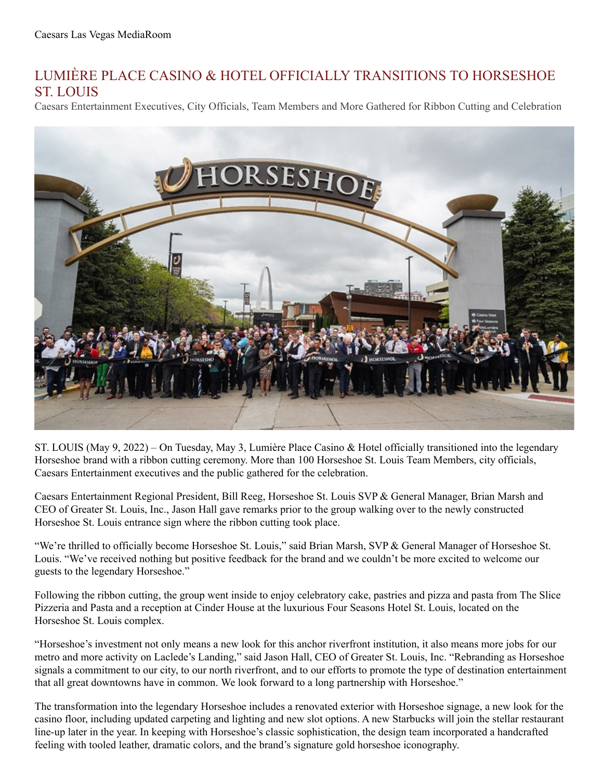## LUMIÈRE PLACE CASINO & HOTEL OFFICIALLY TRANSITIONS TO HORSESHOE ST. LOUIS

Caesars Entertainment Executives, City Officials, Team Members and More Gathered for Ribbon Cutting and Celebration



ST. LOUIS (May 9, 2022) – On Tuesday, May 3, Lumière Place Casino & Hotel officially transitioned into the legendary Horseshoe brand with a ribbon cutting ceremony. More than 100 Horseshoe St. Louis Team Members, city officials, Caesars Entertainment executives and the public gathered for the celebration.

Caesars Entertainment Regional President, Bill Reeg, Horseshoe St. Louis SVP & General Manager, Brian Marsh and CEO of Greater St. Louis, Inc., Jason Hall gave remarks prior to the group walking over to the newly constructed Horseshoe St. Louis entrance sign where the ribbon cutting took place.

"We're thrilled to officially become Horseshoe St. Louis," said Brian Marsh, SVP & General Manager of Horseshoe St. Louis. "We've received nothing but positive feedback for the brand and we couldn't be more excited to welcome our guests to the legendary Horseshoe."

Following the ribbon cutting, the group went inside to enjoy celebratory cake, pastries and pizza and pasta from The Slice Pizzeria and Pasta and a reception at Cinder House at the luxurious Four Seasons Hotel St. Louis, located on the Horseshoe St. Louis complex.

"Horseshoe's investment not only means a new look for this anchor riverfront institution, it also means more jobs for our metro and more activity on Laclede's Landing," said Jason Hall, CEO of Greater St. Louis, Inc. "Rebranding as Horseshoe signals a commitment to our city, to our north riverfront, and to our efforts to promote the type of destination entertainment that all great downtowns have in common. We look forward to a long partnership with Horseshoe."

The transformation into the legendary Horseshoe includes a renovated exterior with Horseshoe signage, a new look for the casino floor, including updated carpeting and lighting and new slot options. A new Starbucks will join the stellar restaurant line-up later in the year. In keeping with Horseshoe's classic sophistication, the design team incorporated a handcrafted feeling with tooled leather, dramatic colors, and the brand's signature gold horseshoe iconography.